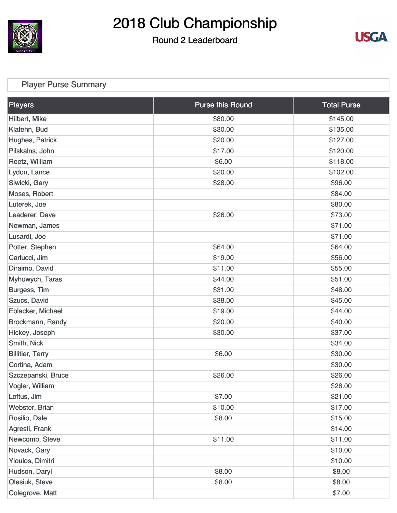

### Round 2 Leaderboard



### [Player Purse Summary](https://cdn2.golfgenius.com/v2tournaments/total_purse?league_id=4461559397864201463&round_id=4461576809628064892)

| Players                 | <b>Purse this Round</b> | <b>Total Purse</b> |
|-------------------------|-------------------------|--------------------|
| Hilbert, Mike           | \$80.00                 | \$145.00           |
| Klafehn, Bud            | \$30.00                 | \$135.00           |
| Hughes, Patrick         | \$20.00                 | \$127.00           |
| Pilskalns, John         | \$17.00                 | \$120.00           |
| Reetz, William          | \$6.00                  | \$118.00           |
| Lydon, Lance            | \$20.00                 | \$102.00           |
| Siwicki, Gary           | \$28.00                 | \$96.00            |
| Moses, Robert           |                         | \$84.00            |
| Luterek, Joe            |                         | \$80.00            |
| Leaderer, Dave          | \$26.00                 | \$73.00            |
| Newman, James           |                         | \$71.00            |
| Lusardi, Joe            |                         | \$71.00            |
| Potter, Stephen         | \$64.00                 | \$64.00            |
| Carlucci, Jim           | \$19.00                 | \$56.00            |
| Diraimo, David          | \$11.00                 | \$55.00            |
| Myhowych, Taras         | \$44.00                 | \$51.00            |
| Burgess, Tim            | \$31.00                 | \$48.00            |
| Szucs, David            | \$38.00                 | \$45.00            |
| Eblacker, Michael       | \$19.00                 | \$44.00            |
| Brockmann, Randy        | \$20.00                 | \$40.00            |
| Hickey, Joseph          | \$30.00                 | \$37.00            |
| Smith, Nick             |                         | \$34.00            |
| <b>Billitier, Terry</b> | \$6.00                  | \$30.00            |
| Cortina, Adam           |                         | \$30.00            |
| Szczepanski, Bruce      | \$26.00                 | \$26.00            |
| Vogler, William         |                         | \$26.00            |
| Loftus, Jim             | \$7.00                  | \$21.00            |
| Webster, Brian          | \$10.00                 | \$17.00            |
| Rosilio, Dale           | \$8.00                  | \$15.00            |
| Agresti, Frank          |                         | \$14.00            |
| Newcomb, Steve          | \$11.00                 | \$11.00            |
| Novack, Gary            |                         | \$10.00            |
| Yioulos, Dimitri        |                         | \$10.00            |
| Hudson, Daryl           | \$8.00                  | \$8.00             |
| Olesiuk, Steve          | \$8.00                  | \$8.00             |
| Colegrove, Matt         |                         | \$7.00             |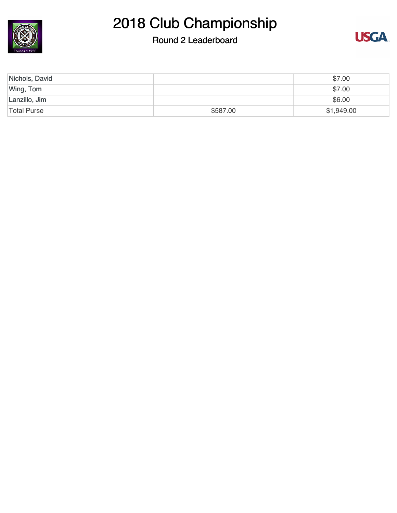

### Round 2 Leaderboard



| Nichols, David     |          | \$7.00     |
|--------------------|----------|------------|
| Wing, Tom          |          | \$7.00     |
| Lanzillo, Jim      |          | \$6.00     |
| <b>Total Purse</b> | \$587.00 | \$1,949.00 |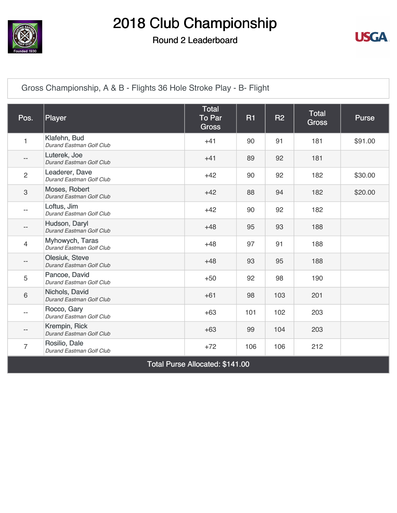

#### Round 2 Leaderboard



[Gross Championship, A & B - Flights 36 Hole Stroke Play - B- Flight](https://cdn2.golfgenius.com/v2tournaments/4472694641845623966)

| Pos.                      | <b>Player</b>                                     | <b>Total</b><br>To Par<br><b>Gross</b> | <b>R1</b> | R <sub>2</sub> | <b>Total</b><br><b>Gross</b> | Purse   |
|---------------------------|---------------------------------------------------|----------------------------------------|-----------|----------------|------------------------------|---------|
| 1                         | Klafehn, Bud<br>Durand Eastman Golf Club          | $+41$                                  | 90        | 91             | 181                          | \$91.00 |
| $\qquad \qquad -$         | Luterek, Joe<br>Durand Eastman Golf Club          | $+41$                                  | 89        | 92             | 181                          |         |
| $\overline{c}$            | Leaderer, Dave<br>Durand Eastman Golf Club        | $+42$                                  | 90        | 92             | 182                          | \$30.00 |
| $\ensuremath{\mathsf{3}}$ | Moses, Robert<br>Durand Eastman Golf Club         | $+42$                                  | 88        | 94             | 182                          | \$20.00 |
| $-$                       | Loftus, Jim<br>Durand Eastman Golf Club           | $+42$                                  | 90        | 92             | 182                          |         |
| $-$                       | Hudson, Daryl<br>Durand Eastman Golf Club         | $+48$                                  | 95        | 93             | 188                          |         |
| 4                         | Myhowych, Taras<br>Durand Eastman Golf Club       | $+48$                                  | 97        | 91             | 188                          |         |
| --                        | <b>Olesiuk, Steve</b><br>Durand Eastman Golf Club | $+48$                                  | 93        | 95             | 188                          |         |
| 5                         | Pancoe, David<br>Durand Eastman Golf Club         | $+50$                                  | 92        | 98             | 190                          |         |
| 6                         | Nichols, David<br>Durand Eastman Golf Club        | $+61$                                  | 98        | 103            | 201                          |         |
| $-$                       | Rocco, Gary<br>Durand Eastman Golf Club           | $+63$                                  | 101       | 102            | 203                          |         |
| --                        | Krempin, Rick<br>Durand Eastman Golf Club         | $+63$                                  | 99        | 104            | 203                          |         |
| 7                         | Rosilio, Dale<br>Durand Eastman Golf Club         | $+72$                                  | 106       | 106            | 212                          |         |

Total Purse Allocated: \$141.00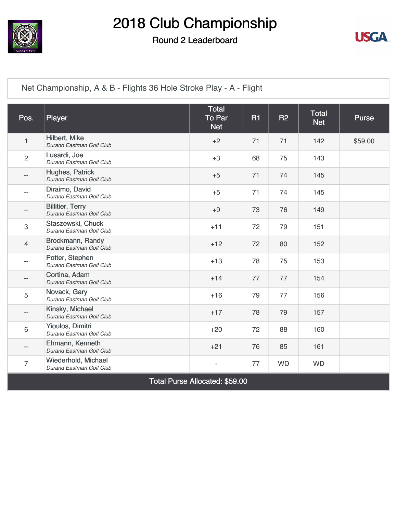

#### Round 2 Leaderboard



[Net Championship, A & B - Flights 36 Hole Stroke Play - A - Flight](https://cdn2.golfgenius.com/v2tournaments/4472694670937316514)

| Pos.                     | Player                                              | <b>Total</b><br>To Par<br><b>Net</b> | R1 | R2        | <b>Total</b><br><b>Net</b> | <b>Purse</b> |
|--------------------------|-----------------------------------------------------|--------------------------------------|----|-----------|----------------------------|--------------|
| 1                        | Hilbert, Mike<br>Durand Eastman Golf Club           | $+2$                                 | 71 | 71        | 142                        | \$59.00      |
| $\overline{2}$           | Lusardi, Joe<br>Durand Eastman Golf Club            | $+3$                                 | 68 | 75        | 143                        |              |
| $-$                      | Hughes, Patrick<br>Durand Eastman Golf Club         | $+5$                                 | 71 | 74        | 145                        |              |
| $\overline{\phantom{m}}$ | Diraimo, David<br>Durand Eastman Golf Club          | $+5$                                 | 71 | 74        | 145                        |              |
| $-$                      | <b>Billitier, Terry</b><br>Durand Eastman Golf Club | $+9$                                 | 73 | 76        | 149                        |              |
| 3                        | Staszewski, Chuck<br>Durand Eastman Golf Club       | $+11$                                | 72 | 79        | 151                        |              |
| $\overline{4}$           | Brockmann, Randy<br>Durand Eastman Golf Club        | $+12$                                | 72 | 80        | 152                        |              |
| $-$                      | Potter, Stephen<br>Durand Eastman Golf Club         | $+13$                                | 78 | 75        | 153                        |              |
| $-$                      | Cortina, Adam<br>Durand Eastman Golf Club           | $+14$                                | 77 | 77        | 154                        |              |
| 5                        | Novack, Gary<br>Durand Eastman Golf Club            | $+16$                                | 79 | 77        | 156                        |              |
| $\overline{\phantom{a}}$ | Kinsky, Michael<br>Durand Eastman Golf Club         | $+17$                                | 78 | 79        | 157                        |              |
| 6                        | Yioulos, Dimitri<br>Durand Eastman Golf Club        | $+20$                                | 72 | 88        | 160                        |              |
| --                       | Ehmann, Kenneth<br>Durand Eastman Golf Club         | $+21$                                | 76 | 85        | 161                        |              |
| $\overline{7}$           | Wiederhold, Michael<br>Durand Eastman Golf Club     | $\overline{\phantom{0}}$             | 77 | <b>WD</b> | <b>WD</b>                  |              |

Total Purse Allocated: \$59.00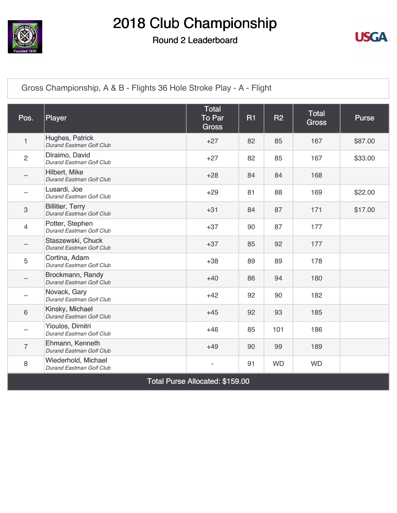

#### Round 2 Leaderboard



[Gross Championship, A & B - Flights 36 Hole Stroke Play - A - Flight](https://cdn2.golfgenius.com/v2tournaments/4472694662515154081)

| Pos.           | Player                                              | <b>Total</b><br><b>To Par</b><br><b>Gross</b> | <b>R1</b> | <b>R2</b> | <b>Total</b><br><b>Gross</b> | <b>Purse</b> |
|----------------|-----------------------------------------------------|-----------------------------------------------|-----------|-----------|------------------------------|--------------|
| 1              | Hughes, Patrick<br>Durand Eastman Golf Club         | $+27$                                         | 82        | 85        | 167                          | \$87.00      |
| $\overline{c}$ | Diraimo, David<br>Durand Eastman Golf Club          | $+27$                                         | 82        | 85        | 167                          | \$33.00      |
| $- -$          | Hilbert, Mike<br>Durand Eastman Golf Club           | $+28$                                         | 84        | 84        | 168                          |              |
| $- -$          | Lusardi, Joe<br>Durand Eastman Golf Club            | $+29$                                         | 81        | 88        | 169                          | \$22.00      |
| 3              | <b>Billitier, Terry</b><br>Durand Eastman Golf Club | $+31$                                         | 84        | 87        | 171                          | \$17.00      |
| 4              | Potter, Stephen<br>Durand Eastman Golf Club         | $+37$                                         | 90        | 87        | 177                          |              |
| $- -$          | Staszewski, Chuck<br>Durand Eastman Golf Club       | $+37$                                         | 85        | 92        | 177                          |              |
| 5              | Cortina, Adam<br>Durand Eastman Golf Club           | $+38$                                         | 89        | 89        | 178                          |              |
| $-$            | Brockmann, Randy<br>Durand Eastman Golf Club        | $+40$                                         | 86        | 94        | 180                          |              |
|                | Novack, Gary<br>Durand Eastman Golf Club            | $+42$                                         | 92        | 90        | 182                          |              |
| 6              | Kinsky, Michael<br>Durand Eastman Golf Club         | $+45$                                         | 92        | 93        | 185                          |              |
| $- -$          | Yioulos, Dimitri<br>Durand Eastman Golf Club        | $+46$                                         | 85        | 101       | 186                          |              |
| $\overline{7}$ | Ehmann, Kenneth<br>Durand Eastman Golf Club         | $+49$                                         | 90        | 99        | 189                          |              |
| $\,8\,$        | Wiederhold, Michael<br>Durand Eastman Golf Club     |                                               | 91        | <b>WD</b> | <b>WD</b>                    |              |

Total Purse Allocated: \$159.00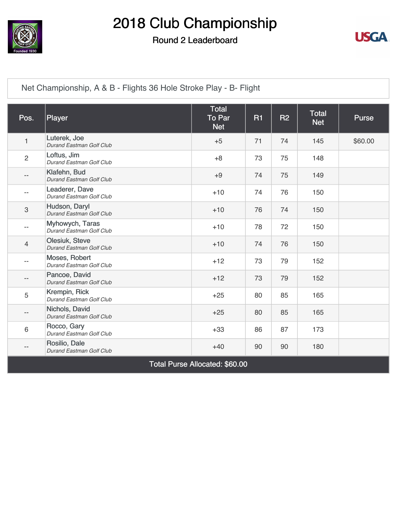

#### Round 2 Leaderboard



[Net Championship, A & B - Flights 36 Hole Stroke Play - B- Flight](https://cdn2.golfgenius.com/v2tournaments/4472694650469112991)

| Pos.                     | Player                                            | <b>Total</b><br><b>To Par</b><br><b>Net</b> | <b>R1</b> | R <sub>2</sub> | <b>Total</b><br><b>Net</b> | <b>Purse</b> |
|--------------------------|---------------------------------------------------|---------------------------------------------|-----------|----------------|----------------------------|--------------|
| $\mathbf{1}$             | Luterek, Joe<br>Durand Eastman Golf Club          | $+5$                                        | 71        | 74             | 145                        | \$60.00      |
| $\overline{2}$           | Loftus, Jim<br>Durand Eastman Golf Club           | $+8$                                        | 73        | 75             | 148                        |              |
| $\overline{\phantom{m}}$ | Klafehn, Bud<br>Durand Eastman Golf Club          | $+9$                                        | 74        | 75             | 149                        |              |
| $\qquad \qquad -$        | Leaderer, Dave<br>Durand Eastman Golf Club        | $+10$                                       | 74        | 76             | 150                        |              |
| 3                        | Hudson, Daryl<br>Durand Eastman Golf Club         | $+10$                                       | 76        | 74             | 150                        |              |
| $\qquad \qquad -$        | Myhowych, Taras<br>Durand Eastman Golf Club       | $+10$                                       | 78        | 72             | 150                        |              |
| $\overline{4}$           | <b>Olesiuk, Steve</b><br>Durand Eastman Golf Club | $+10$                                       | 74        | 76             | 150                        |              |
| $\overline{\phantom{m}}$ | Moses, Robert<br>Durand Eastman Golf Club         | $+12$                                       | 73        | 79             | 152                        |              |
| $\overline{\phantom{a}}$ | Pancoe, David<br>Durand Eastman Golf Club         | $+12$                                       | 73        | 79             | 152                        |              |
| 5                        | Krempin, Rick<br>Durand Eastman Golf Club         | $+25$                                       | 80        | 85             | 165                        |              |
| $-\,-$                   | Nichols, David<br>Durand Eastman Golf Club        | $+25$                                       | 80        | 85             | 165                        |              |
| 6                        | Rocco, Gary<br>Durand Eastman Golf Club           | $+33$                                       | 86        | 87             | 173                        |              |
| $\overline{\phantom{m}}$ | Rosilio, Dale<br>Durand Eastman Golf Club         | $+40$                                       | 90        | 90             | 180                        |              |
|                          |                                                   | Total Purse Allocated: \$60.00              |           |                |                            |              |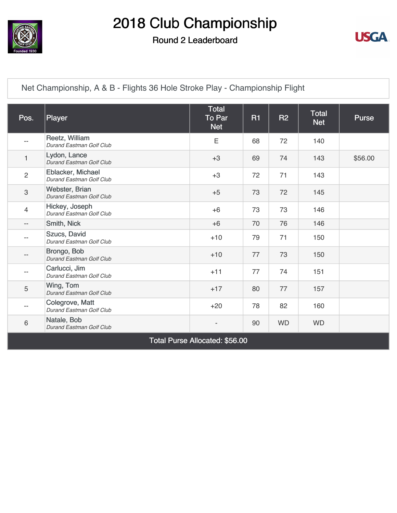

#### Round 2 Leaderboard



[Net Championship, A & B - Flights 36 Hole Stroke Play - Championship Flight](https://cdn2.golfgenius.com/v2tournaments/4472694630873324700)

| Pos.                     | Player                                        | <b>Total</b><br>To Par<br><b>Net</b>  | <b>R1</b> | <b>R2</b> | <b>Total</b><br><b>Net</b> | <b>Purse</b> |
|--------------------------|-----------------------------------------------|---------------------------------------|-----------|-----------|----------------------------|--------------|
| $-$                      | Reetz, William<br>Durand Eastman Golf Club    | Ε                                     | 68        | 72        | 140                        |              |
| 1                        | Lydon, Lance<br>Durand Eastman Golf Club      | $+3$                                  | 69        | 74        | 143                        | \$56.00      |
| $\overline{2}$           | Eblacker, Michael<br>Durand Eastman Golf Club | $+3$                                  | 72        | 71        | 143                        |              |
| $\mathfrak{S}$           | Webster, Brian<br>Durand Eastman Golf Club    | $+5$                                  | 73        | 72        | 145                        |              |
| $\overline{4}$           | Hickey, Joseph<br>Durand Eastman Golf Club    | $+6$                                  | 73        | 73        | 146                        |              |
| $\overline{\phantom{a}}$ | Smith, Nick                                   | $+6$                                  | 70        | 76        | 146                        |              |
| $-$                      | Szucs, David<br>Durand Eastman Golf Club      | $+10$                                 | 79        | 71        | 150                        |              |
|                          | Brongo, Bob<br>Durand Eastman Golf Club       | $+10$                                 | 77        | 73        | 150                        |              |
| $-$                      | Carlucci, Jim<br>Durand Eastman Golf Club     | $+11$                                 | 77        | 74        | 151                        |              |
| 5                        | Wing, Tom<br>Durand Eastman Golf Club         | $+17$                                 | 80        | 77        | 157                        |              |
| $-$                      | Colegrove, Matt<br>Durand Eastman Golf Club   | $+20$                                 | 78        | 82        | 160                        |              |
| $\,6$                    | Natale, Bob<br>Durand Eastman Golf Club       |                                       | 90        | <b>WD</b> | <b>WD</b>                  |              |
|                          |                                               | <b>Total Purse Allocated: \$56.00</b> |           |           |                            |              |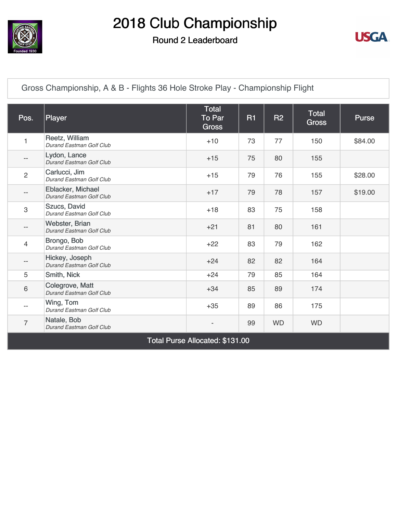

#### Round 2 Leaderboard



[Gross Championship, A & B - Flights 36 Hole Stroke Play - Championship Flight](https://cdn2.golfgenius.com/v2tournaments/4472694620739886235)

| Pos.           | Player                                        | Total<br>To Par<br><b>Gross</b> | <b>R1</b> | <b>R2</b> | Total<br><b>Gross</b> | <b>Purse</b> |
|----------------|-----------------------------------------------|---------------------------------|-----------|-----------|-----------------------|--------------|
| 1              | Reetz, William<br>Durand Eastman Golf Club    | $+10$                           | 73        | 77        | 150                   | \$84.00      |
| --             | Lydon, Lance<br>Durand Eastman Golf Club      | $+15$                           | 75        | 80        | 155                   |              |
| $\overline{c}$ | Carlucci, Jim<br>Durand Eastman Golf Club     | $+15$                           | 79        | 76        | 155                   | \$28.00      |
| $- -$          | Eblacker, Michael<br>Durand Eastman Golf Club | $+17$                           | 79        | 78        | 157                   | \$19.00      |
| 3              | Szucs, David<br>Durand Eastman Golf Club      | $+18$                           | 83        | 75        | 158                   |              |
| --             | Webster, Brian<br>Durand Eastman Golf Club    | $+21$                           | 81        | 80        | 161                   |              |
| 4              | Brongo, Bob<br>Durand Eastman Golf Club       | $+22$                           | 83        | 79        | 162                   |              |
| $- -$          | Hickey, Joseph<br>Durand Eastman Golf Club    | $+24$                           | 82        | 82        | 164                   |              |
| 5              | Smith, Nick                                   | $+24$                           | 79        | 85        | 164                   |              |
| 6              | Colegrove, Matt<br>Durand Eastman Golf Club   | $+34$                           | 85        | 89        | 174                   |              |
| $- -$          | Wing, Tom<br>Durand Eastman Golf Club         | $+35$                           | 89        | 86        | 175                   |              |
| $\overline{7}$ | Natale, Bob<br>Durand Eastman Golf Club       |                                 | 99        | <b>WD</b> | <b>WD</b>             |              |
|                |                                               | Total Purse Allocated: \$131.00 |           |           |                       |              |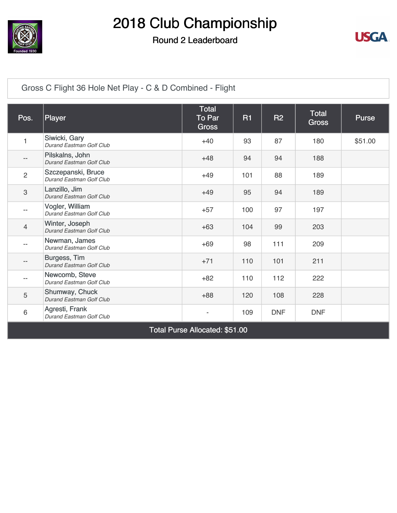

Round 2 Leaderboard



[Gross C Flight 36 Hole Net Play - C & D Combined - Flight](https://cdn2.golfgenius.com/v2tournaments/4472759352339487909)

| Pos.              | Player                                         | <b>Total</b><br>To Par<br><b>Gross</b> | <b>R1</b> | <b>R2</b>  | <b>Total</b><br><b>Gross</b> | Purse   |
|-------------------|------------------------------------------------|----------------------------------------|-----------|------------|------------------------------|---------|
| 1                 | Siwicki, Gary<br>Durand Eastman Golf Club      | $+40$                                  | 93        | 87         | 180                          | \$51.00 |
| $\qquad \qquad -$ | Pilskalns, John<br>Durand Eastman Golf Club    | $+48$                                  | 94        | 94         | 188                          |         |
| $\overline{2}$    | Szczepanski, Bruce<br>Durand Eastman Golf Club | $+49$                                  | 101       | 88         | 189                          |         |
| 3                 | Lanzillo, Jim<br>Durand Eastman Golf Club      | $+49$                                  | 95        | 94         | 189                          |         |
| $- -$             | Vogler, William<br>Durand Eastman Golf Club    | $+57$                                  | 100       | 97         | 197                          |         |
| $\overline{4}$    | Winter, Joseph<br>Durand Eastman Golf Club     | $+63$                                  | 104       | 99         | 203                          |         |
| $-1$              | Newman, James<br>Durand Eastman Golf Club      | $+69$                                  | 98        | 111        | 209                          |         |
| $\qquad \qquad -$ | Burgess, Tim<br>Durand Eastman Golf Club       | $+71$                                  | 110       | 101        | 211                          |         |
| $- -$             | Newcomb, Steve<br>Durand Eastman Golf Club     | $+82$                                  | 110       | 112        | 222                          |         |
| 5                 | Shumway, Chuck<br>Durand Eastman Golf Club     | $+88$                                  | 120       | 108        | 228                          |         |
| 6                 | Agresti, Frank<br>Durand Eastman Golf Club     |                                        | 109       | <b>DNF</b> | <b>DNF</b>                   |         |
|                   |                                                | Total Purse Allocated: \$51.00         |           |            |                              |         |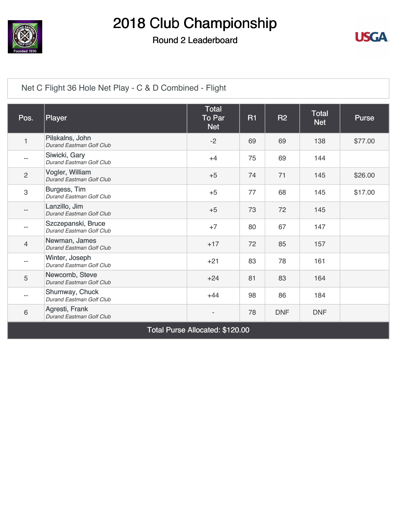

#### Round 2 Leaderboard



#### [Net C Flight 36 Hole Net Play - C & D Combined - Flight](https://cdn2.golfgenius.com/v2tournaments/4472759342742920356)

| Pos.                     | Player                                         | <b>Total</b><br>To Par<br><b>Net</b> | <b>R1</b> | <b>R2</b>  | Total<br><b>Net</b> | <b>Purse</b> |
|--------------------------|------------------------------------------------|--------------------------------------|-----------|------------|---------------------|--------------|
| $\mathbf{1}$             | Pilskalns, John<br>Durand Eastman Golf Club    | $-2$                                 | 69        | 69         | 138                 | \$77.00      |
| $\overline{\phantom{a}}$ | Siwicki, Gary<br>Durand Eastman Golf Club      | $+4$                                 | 75        | 69         | 144                 |              |
| $\overline{2}$           | Vogler, William<br>Durand Eastman Golf Club    | $+5$                                 | 74        | 71         | 145                 | \$26.00      |
| $\mathsf 3$              | Burgess, Tim<br>Durand Eastman Golf Club       | $+5$                                 | 77        | 68         | 145                 | \$17.00      |
| $\qquad \qquad -$        | Lanzillo, Jim<br>Durand Eastman Golf Club      | $+5$                                 | 73        | 72         | 145                 |              |
| $\overline{\phantom{a}}$ | Szczepanski, Bruce<br>Durand Eastman Golf Club | $+7$                                 | 80        | 67         | 147                 |              |
| $\overline{4}$           | Newman, James<br>Durand Eastman Golf Club      | $+17$                                | 72        | 85         | 157                 |              |
| $\overline{\phantom{m}}$ | Winter, Joseph<br>Durand Eastman Golf Club     | $+21$                                | 83        | 78         | 161                 |              |
| 5                        | Newcomb, Steve<br>Durand Eastman Golf Club     | $+24$                                | 81        | 83         | 164                 |              |
| $\overline{\phantom{a}}$ | Shumway, Chuck<br>Durand Eastman Golf Club     | $+44$                                | 98        | 86         | 184                 |              |
| $\,6$                    | Agresti, Frank<br>Durand Eastman Golf Club     |                                      | 78        | <b>DNF</b> | <b>DNF</b>          |              |
|                          |                                                | Total Purse Allocated: \$120.00      |           |            |                     |              |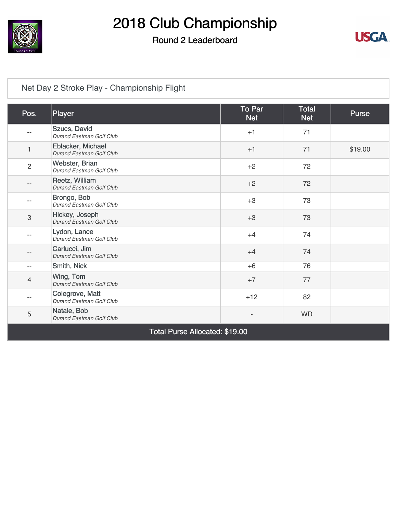

### Round 2 Leaderboard



### [Net Day 2 Stroke Play - Championship Flight](https://cdn2.golfgenius.com/v2tournaments/4466840571255741934)

| Pos.           | Player                                                                         | To Par<br><b>Net</b> | <b>Total</b><br><b>Net</b> | <b>Purse</b> |
|----------------|--------------------------------------------------------------------------------|----------------------|----------------------------|--------------|
|                | Szucs, David<br>Durand Eastman Golf Club                                       | $+1$                 | 71                         |              |
| 1              | Eblacker, Michael<br>Durand Eastman Golf Club                                  | $+1$                 | 71                         | \$19.00      |
| $\overline{2}$ | Webster, Brian<br>Durand Eastman Golf Club                                     | $+2$                 | 72                         |              |
| --             | Reetz, William<br>Durand Eastman Golf Club                                     | $+2$                 | 72                         |              |
|                | Brongo, Bob<br>Durand Eastman Golf Club                                        | $+3$                 | 73                         |              |
| $\mathfrak 3$  | Hickey, Joseph<br>Durand Eastman Golf Club                                     | $+3$                 | 73                         |              |
|                | Lydon, Lance<br>Durand Eastman Golf Club                                       | $+4$                 | 74                         |              |
|                | Carlucci, Jim<br><b>Durand Eastman Golf Club</b>                               | $+4$                 | 74                         |              |
| $- -$          | Smith, Nick                                                                    | $+6$                 | 76                         |              |
| $\overline{4}$ | Wing, Tom<br><b>Durand Eastman Golf Club</b>                                   | $+7$                 | 77                         |              |
|                | Colegrove, Matt<br>Durand Eastman Golf Club                                    | $+12$                | 82                         |              |
| 5              | Natale, Bob<br>Durand Eastman Golf Club                                        |                      | <b>WD</b>                  |              |
|                | $\mathbf{A}$ is the set of $\mathbf{A}$ is a set of $\mathbf{A}$<br><b>TID</b> |                      |                            |              |

Total Purse Allocated: \$19.00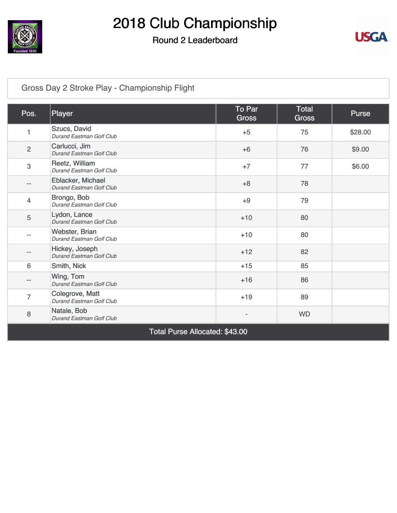

### Round 2 Leaderboard



### [Gross Day 2 Stroke Play - Championship Flight](https://cdn2.golfgenius.com/v2tournaments/4466840568269397485)

| Pos.                      | Player                                        | To Par<br><b>Gross</b> | <b>Total</b><br><b>Gross</b> | Purse   |
|---------------------------|-----------------------------------------------|------------------------|------------------------------|---------|
| 1                         | Szucs, David<br>Durand Eastman Golf Club      | $+5$                   | 75                           | \$28.00 |
| $\overline{2}$            | Carlucci, Jim<br>Durand Eastman Golf Club     | $+6$                   | 76                           | \$9.00  |
| $\ensuremath{\mathsf{3}}$ | Reetz, William<br>Durand Eastman Golf Club    | $+7$                   | 77                           | \$6.00  |
|                           | Eblacker, Michael<br>Durand Eastman Golf Club | $+8$                   | 78                           |         |
| 4                         | Brongo, Bob<br>Durand Eastman Golf Club       | $+9$                   | 79                           |         |
| 5                         | Lydon, Lance<br>Durand Eastman Golf Club      | $+10$                  | 80                           |         |
| --                        | Webster, Brian<br>Durand Eastman Golf Club    | $+10$                  | 80                           |         |
|                           | Hickey, Joseph<br>Durand Eastman Golf Club    | $+12$                  | 82                           |         |
| 6                         | Smith, Nick                                   | $+15$                  | 85                           |         |
| --                        | Wing, Tom<br>Durand Eastman Golf Club         | $+16$                  | 86                           |         |
| $\overline{7}$            | Colegrove, Matt<br>Durand Eastman Golf Club   | $+19$                  | 89                           |         |
| 8                         | Natale, Bob<br>Durand Eastman Golf Club       |                        | <b>WD</b>                    |         |
|                           | Total Purse Allocated: \$43.00                |                        |                              |         |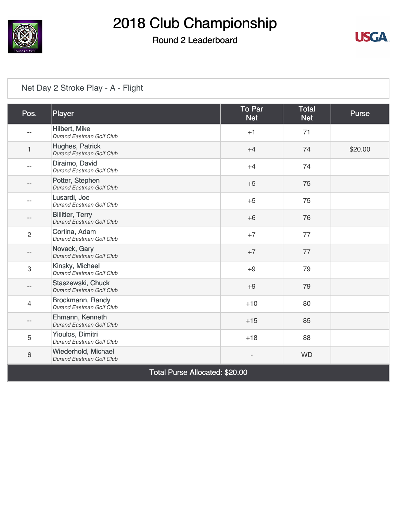

### Round 2 Leaderboard



#### [Net Day 2 Stroke Play - A - Flight](https://cdn2.golfgenius.com/v2tournaments/4474343145554861274)

| Pos.           | Player                                              | <b>To Par</b><br><b>Net</b> | <b>Total</b><br><b>Net</b> | Purse   |
|----------------|-----------------------------------------------------|-----------------------------|----------------------------|---------|
|                | Hilbert, Mike<br>Durand Eastman Golf Club           | $+1$                        | 71                         |         |
| 1              | Hughes, Patrick<br>Durand Eastman Golf Club         | $+4$                        | 74                         | \$20.00 |
|                | Diraimo, David<br>Durand Eastman Golf Club          | $+4$                        | 74                         |         |
|                | Potter, Stephen<br>Durand Eastman Golf Club         | $+5$                        | 75                         |         |
|                | Lusardi, Joe<br>Durand Eastman Golf Club            | $+5$                        | 75                         |         |
|                | <b>Billitier, Terry</b><br>Durand Eastman Golf Club | $+6$                        | 76                         |         |
| $\overline{2}$ | Cortina, Adam<br>Durand Eastman Golf Club           | $+7$                        | 77                         |         |
|                | Novack, Gary<br>Durand Eastman Golf Club            | $+7$                        | 77                         |         |
| 3              | Kinsky, Michael<br>Durand Eastman Golf Club         | $+9$                        | 79                         |         |
|                | Staszewski, Chuck<br>Durand Eastman Golf Club       | $+9$                        | 79                         |         |
| 4              | Brockmann, Randy<br>Durand Eastman Golf Club        | $+10$                       | 80                         |         |
|                | Ehmann, Kenneth<br>Durand Eastman Golf Club         | $+15$                       | 85                         |         |
| 5              | Yioulos, Dimitri<br>Durand Eastman Golf Club        | $+18$                       | 88                         |         |
| $6\,$          | Wiederhold, Michael<br>Durand Eastman Golf Club     |                             | <b>WD</b>                  |         |

Total Purse Allocated: \$20.00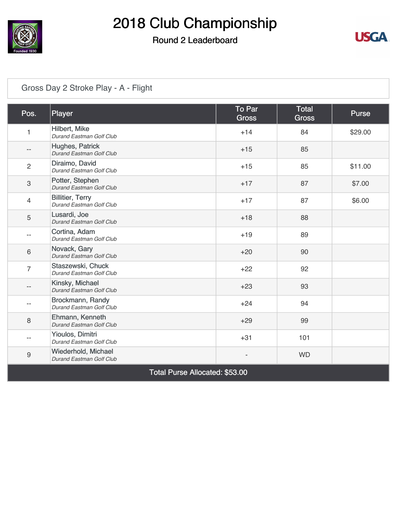

### Round 2 Leaderboard



#### [Gross Day 2 Stroke Play - A - Flight](https://cdn2.golfgenius.com/v2tournaments/4474343140890795225)

| Pos.             | Player                                              | To Par<br><b>Gross</b> | <b>Total</b><br><b>Gross</b> | <b>Purse</b> |
|------------------|-----------------------------------------------------|------------------------|------------------------------|--------------|
| 1                | Hilbert, Mike<br>Durand Eastman Golf Club           | $+14$                  | 84                           | \$29.00      |
| --               | Hughes, Patrick<br>Durand Eastman Golf Club         | $+15$                  | 85                           |              |
| $\overline{2}$   | Diraimo, David<br>Durand Eastman Golf Club          | $+15$                  | 85                           | \$11.00      |
| $\mathsf 3$      | Potter, Stephen<br>Durand Eastman Golf Club         | $+17$                  | 87                           | \$7.00       |
| $\overline{4}$   | <b>Billitier, Terry</b><br>Durand Eastman Golf Club | $+17$                  | 87                           | \$6.00       |
| $\sqrt{5}$       | Lusardi, Joe<br>Durand Eastman Golf Club            | $+18$                  | 88                           |              |
|                  | Cortina, Adam<br>Durand Eastman Golf Club           | $+19$                  | 89                           |              |
| $6\phantom{1}$   | Novack, Gary<br>Durand Eastman Golf Club            | $+20$                  | 90                           |              |
| $\overline{7}$   | Staszewski, Chuck<br>Durand Eastman Golf Club       | $+22$                  | 92                           |              |
|                  | Kinsky, Michael<br>Durand Eastman Golf Club         | $+23$                  | 93                           |              |
| --               | Brockmann, Randy<br>Durand Eastman Golf Club        | $+24$                  | 94                           |              |
| 8                | Ehmann, Kenneth<br>Durand Eastman Golf Club         | $+29$                  | 99                           |              |
|                  | Yioulos, Dimitri<br>Durand Eastman Golf Club        | $+31$                  | 101                          |              |
| $\boldsymbol{9}$ | Wiederhold, Michael<br>Durand Eastman Golf Club     |                        | <b>WD</b>                    |              |

Total Purse Allocated: \$53.00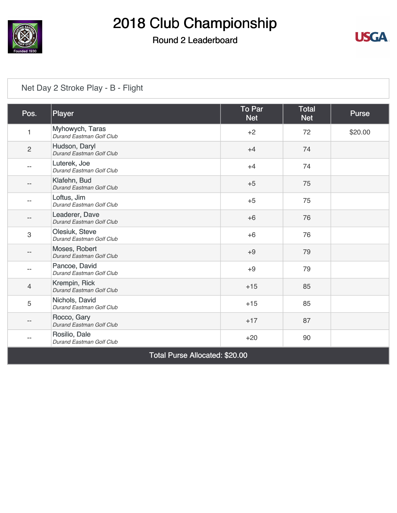

### Round 2 Leaderboard



#### [Net Day 2 Stroke Play - B - Flight](https://cdn2.golfgenius.com/v2tournaments/4474344697044688096)

| Pos.                           | Player                                      | To Par<br><b>Net</b> | <b>Total</b><br><b>Net</b> | <b>Purse</b> |  |  |
|--------------------------------|---------------------------------------------|----------------------|----------------------------|--------------|--|--|
| 1                              | Myhowych, Taras<br>Durand Eastman Golf Club | $+2$                 | 72                         | \$20.00      |  |  |
| $\overline{2}$                 | Hudson, Daryl<br>Durand Eastman Golf Club   | $+4$                 | 74                         |              |  |  |
| $-$                            | Luterek, Joe<br>Durand Eastman Golf Club    | $+4$                 | 74                         |              |  |  |
|                                | Klafehn, Bud<br>Durand Eastman Golf Club    | $+5$                 | 75                         |              |  |  |
| --                             | Loftus, Jim<br>Durand Eastman Golf Club     | $+5$                 | 75                         |              |  |  |
| --                             | Leaderer, Dave<br>Durand Eastman Golf Club  | $+6$                 | 76                         |              |  |  |
| 3                              | Olesiuk, Steve<br>Durand Eastman Golf Club  | $+6$                 | 76                         |              |  |  |
| --                             | Moses, Robert<br>Durand Eastman Golf Club   | $+9$                 | 79                         |              |  |  |
| --                             | Pancoe, David<br>Durand Eastman Golf Club   | $+9$                 | 79                         |              |  |  |
| 4                              | Krempin, Rick<br>Durand Eastman Golf Club   | $+15$                | 85                         |              |  |  |
| 5                              | Nichols, David<br>Durand Eastman Golf Club  | $+15$                | 85                         |              |  |  |
| --                             | Rocco, Gary<br>Durand Eastman Golf Club     | $+17$                | 87                         |              |  |  |
|                                | Rosilio, Dale<br>Durand Eastman Golf Club   | $+20$                | 90                         |              |  |  |
| Total Purse Allocated: \$20.00 |                                             |                      |                            |              |  |  |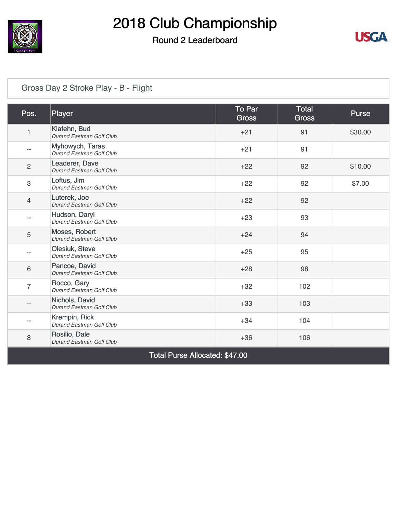

### Round 2 Leaderboard



#### [Gross Day 2 Stroke Play - B - Flight](https://cdn2.golfgenius.com/v2tournaments/4474344694393887967)

| Pos.           | Player                                      | To Par<br><b>Gross</b> | Total<br><b>Gross</b> | <b>Purse</b> |  |  |  |
|----------------|---------------------------------------------|------------------------|-----------------------|--------------|--|--|--|
| $\mathbf{1}$   | Klafehn, Bud<br>Durand Eastman Golf Club    | $+21$                  | 91                    | \$30.00      |  |  |  |
| --             | Myhowych, Taras<br>Durand Eastman Golf Club | $+21$                  | 91                    |              |  |  |  |
| $\overline{2}$ | Leaderer, Dave<br>Durand Eastman Golf Club  | $+22$                  | 92                    | \$10.00      |  |  |  |
| 3              | Loftus, Jim<br>Durand Eastman Golf Club     | $+22$                  | 92                    | \$7.00       |  |  |  |
| $\overline{4}$ | Luterek, Joe<br>Durand Eastman Golf Club    | $+22$                  | 92                    |              |  |  |  |
| --             | Hudson, Daryl<br>Durand Eastman Golf Club   | $+23$                  | 93                    |              |  |  |  |
| 5              | Moses, Robert<br>Durand Eastman Golf Club   | $+24$                  | 94                    |              |  |  |  |
| $- -$          | Olesiuk, Steve<br>Durand Eastman Golf Club  | $+25$                  | 95                    |              |  |  |  |
| 6              | Pancoe, David<br>Durand Eastman Golf Club   | $+28$                  | 98                    |              |  |  |  |
| $\overline{7}$ | Rocco, Gary<br>Durand Eastman Golf Club     | $+32$                  | 102                   |              |  |  |  |
| --             | Nichols, David<br>Durand Eastman Golf Club  | $+33$                  | 103                   |              |  |  |  |
| --             | Krempin, Rick<br>Durand Eastman Golf Club   | $+34$                  | 104                   |              |  |  |  |
| 8              | Rosilio, Dale<br>Durand Eastman Golf Club   | $+36$                  | 106                   |              |  |  |  |
|                | Total Purse Allocated: \$47.00              |                        |                       |              |  |  |  |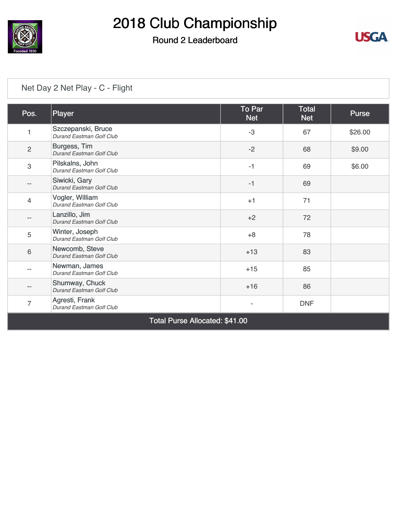

## Round 2 Leaderboard



#### [Net Day 2 Net Play - C - Flight](https://cdn2.golfgenius.com/v2tournaments/4466844359987322358)

| Pos.           | Player                                           | To Par<br><b>Net</b> | <b>Total</b><br><b>Net</b> | <b>Purse</b> |
|----------------|--------------------------------------------------|----------------------|----------------------------|--------------|
|                | Szczepanski, Bruce<br>Durand Eastman Golf Club   | $-3$                 | 67                         | \$26.00      |
| $\overline{c}$ | Burgess, Tim<br><b>Durand Eastman Golf Club</b>  | $-2$                 | 68                         | \$9.00       |
| 3              | Pilskalns, John<br>Durand Eastman Golf Club      | $-1$                 | 69                         | \$6.00       |
|                | Siwicki, Gary<br>Durand Eastman Golf Club        | $-1$                 | 69                         |              |
| $\overline{4}$ | Vogler, William<br>Durand Eastman Golf Club      | $+1$                 | 71                         |              |
|                | Lanzillo, Jim<br><b>Durand Eastman Golf Club</b> | $+2$                 | 72                         |              |
| 5              | Winter, Joseph<br>Durand Eastman Golf Club       | $+8$                 | 78                         |              |
| 6              | Newcomb, Steve<br>Durand Eastman Golf Club       | $+13$                | 83                         |              |
|                | Newman, James<br>Durand Eastman Golf Club        | $+15$                | 85                         |              |
|                | Shumway, Chuck<br>Durand Eastman Golf Club       | $+16$                | 86                         |              |
| $\overline{7}$ | Agresti, Frank<br>Durand Eastman Golf Club       |                      | <b>DNF</b>                 |              |

Total Purse Allocated: \$41.00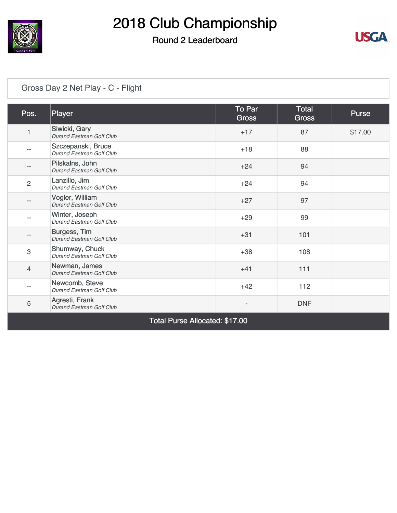

## Round 2 Leaderboard



### [Gross Day 2 Net Play - C - Flight](https://cdn2.golfgenius.com/v2tournaments/4466844363074330103)

| Pos.           | Player                                         | To Par<br><b>Gross</b> | <b>Total</b><br><b>Gross</b> | <b>Purse</b> |
|----------------|------------------------------------------------|------------------------|------------------------------|--------------|
| 1              | Siwicki, Gary<br>Durand Eastman Golf Club      | $+17$                  | 87                           | \$17.00      |
|                | Szczepanski, Bruce<br>Durand Eastman Golf Club | $+18$                  | 88                           |              |
|                | Pilskalns, John<br>Durand Eastman Golf Club    | $+24$                  | 94                           |              |
| $\overline{2}$ | Lanzillo, Jim<br>Durand Eastman Golf Club      | $+24$                  | 94                           |              |
|                | Vogler, William<br>Durand Eastman Golf Club    | $+27$                  | 97                           |              |
|                | Winter, Joseph<br>Durand Eastman Golf Club     | $+29$                  | 99                           |              |
|                | Burgess, Tim<br>Durand Eastman Golf Club       | $+31$                  | 101                          |              |
| 3              | Shumway, Chuck<br>Durand Eastman Golf Club     | $+38$                  | 108                          |              |
| $\overline{4}$ | Newman, James<br>Durand Eastman Golf Club      | $+41$                  | 111                          |              |
|                | Newcomb, Steve<br>Durand Eastman Golf Club     | $+42$                  | 112                          |              |
| 5              | Agresti, Frank<br>Durand Eastman Golf Club     |                        | <b>DNF</b>                   |              |

Total Purse Allocated: \$17.00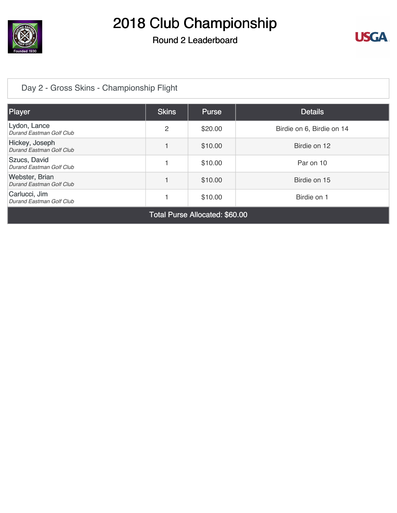

## Round 2 Leaderboard



### [Day 2 - Gross Skins - Championship Flight](https://cdn2.golfgenius.com/v2tournaments/4461998438313123191)

| Player                                            | <b>Skins</b> | <b>Purse</b> | <b>Details</b>            |  |  |
|---------------------------------------------------|--------------|--------------|---------------------------|--|--|
| Lydon, Lance<br>Durand Eastman Golf Club          | 2            | \$20.00      | Birdie on 6, Birdie on 14 |  |  |
| Hickey, Joseph<br>Durand Eastman Golf Club        |              | \$10.00      | Birdie on 12              |  |  |
| Szucs, David<br>Durand Eastman Golf Club          |              | \$10.00      | Par on 10                 |  |  |
| <b>Webster, Brian</b><br>Durand Eastman Golf Club |              | \$10.00      | Birdie on 15              |  |  |
| Carlucci, Jim<br>Durand Eastman Golf Club         |              | \$10.00      | Birdie on 1               |  |  |
| Total Purse Allocated: \$60.00                    |              |              |                           |  |  |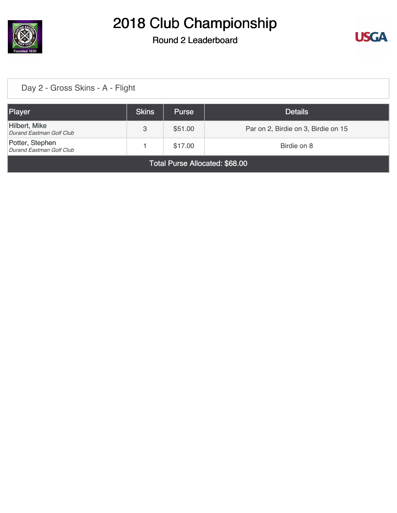

### Round 2 Leaderboard



### [Day 2 - Gross Skins - A - Flight](https://cdn2.golfgenius.com/v2tournaments/4474128956307561671)

| Player                                      | <b>Skins</b> | <b>Purse</b> | <b>Details</b>                      |  |  |  |
|---------------------------------------------|--------------|--------------|-------------------------------------|--|--|--|
| Hilbert, Mike<br>Durand Eastman Golf Club   | 3            | \$51.00      | Par on 2, Birdie on 3, Birdie on 15 |  |  |  |
| Potter, Stephen<br>Durand Eastman Golf Club |              | \$17.00      | Birdie on 8                         |  |  |  |
| Total Purse Allocated: \$68.00              |              |              |                                     |  |  |  |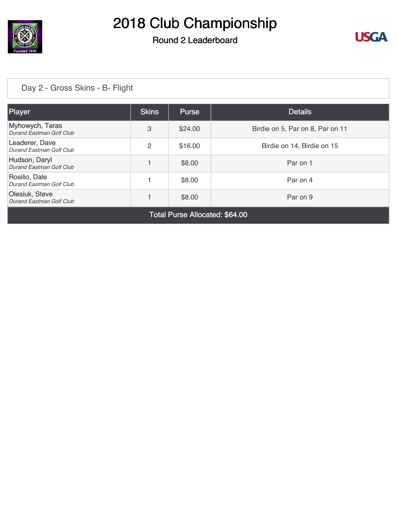

## Round 2 Leaderboard



#### [Day 2 - Gross Skins - B- Flight](https://cdn2.golfgenius.com/v2tournaments/4474131886582553801)

| <b>Player</b>                               | <b>Skins</b> | <b>Purse</b> | <b>Details</b>                   |
|---------------------------------------------|--------------|--------------|----------------------------------|
| Myhowych, Taras<br>Durand Eastman Golf Club | 3            | \$24.00      | Birdie on 5, Par on 8, Par on 11 |
| Leaderer, Dave<br>Durand Eastman Golf Club  | 2            | \$16.00      | Birdie on 14, Birdie on 15       |
| Hudson, Daryl<br>Durand Eastman Golf Club   |              | \$8.00       | Par on 1                         |
| Rosilio, Dale<br>Durand Eastman Golf Club   |              | \$8.00       | Par on 4                         |
| Olesiuk, Steve<br>Durand Eastman Golf Club  |              | \$8.00       | Par on 9                         |
|                                             |              |              |                                  |

Total Purse Allocated: \$64.00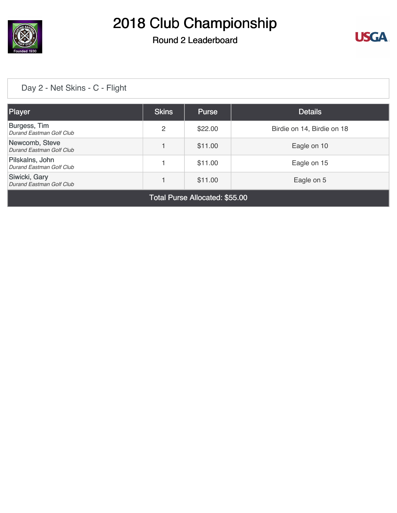

### Round 2 Leaderboard



### [Day 2 - Net Skins - C - Flight](https://cdn2.golfgenius.com/v2tournaments/4466913762430966803)

| Player                                      | <b>Skins</b> | <b>Purse</b> | <b>Details</b>             |  |  |
|---------------------------------------------|--------------|--------------|----------------------------|--|--|
| Burgess, Tim<br>Durand Eastman Golf Club    | 2            | \$22.00      | Birdie on 14, Birdie on 18 |  |  |
| Newcomb, Steve<br>Durand Eastman Golf Club  |              | \$11.00      | Eagle on 10                |  |  |
| Pilskalns, John<br>Durand Eastman Golf Club |              | \$11.00      | Eagle on 15                |  |  |
| Siwicki, Gary<br>Durand Eastman Golf Club   |              | \$11.00      | Eagle on 5                 |  |  |
| Tatal Duras, Allegated, AFF, OO             |              |              |                            |  |  |

Total Purse Allocated: \$55.00